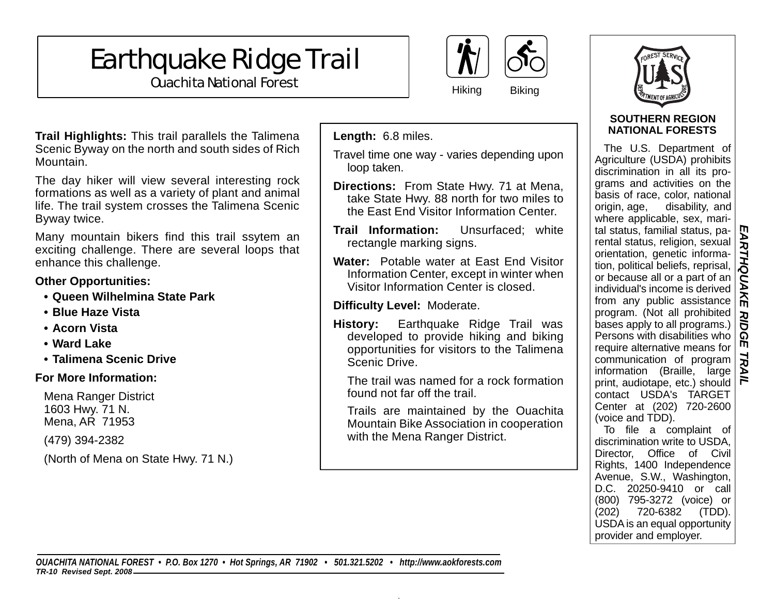# Earthquake Ridge Trail



**Ouachita National Forest** Mational Property Assembly Mational Biking



#### **SOUTHERN REGION NATIONAL FORESTS**

The U.S. Department of Agriculture (USDA) prohibits discrimination in all its programs and activities on the basis of race, color, national origin, age, disability, and where applicable, sex, marital status, familial status, parental status, religion, sexual orientation, genetic information, political beliefs, reprisal, or because all or a part of an individual's income is derived from any public assistance program. (Not all prohibited bases apply to all programs.) Persons with disabilities who require alternative means for communication of program information (Braille, large print, audiotape, etc.) should contact USDA's TARGET Center at (202) 720-2600 (voice and TDD).

*EARTHQUAKE RIDGE TRAIL* 

**RIDG** 

m **TRA** 

EARTHQUAKE

To file a complaint of discrimination write to USDA, Director, Office of Civil Rights, 1400 Independence Avenue, S.W., Washington, D.C. 20250-9410 or call (800) 795-3272 (voice) or (202) 720-6382 (TDD). USDA is an equal opportunity provider and employer.

**Trail Highlights:** This trail parallels the Talimena Scenic Byway on the north and south sides of Rich Mountain.

The day hiker will view several interesting rock formations as well as a variety of plant and animal life. The trail system crosses the Talimena Scenic Byway twice.

Many mountain bikers find this trail ssytem an exciting challenge. There are several loops that enhance this challenge.

### **Other Opportunities:**

- **Queen Wilhelmina State Park**
- **Blue Haze Vista**
- **Acorn Vista**
- **Ward Lake**
- **Talimena Scenic Drive**

## **For More Information:**

 Mena Ranger District 1603 Hwy. 71 N. Mena, AR 71953

(479) 394-2382

(North of Mena on State Hwy. 71 N.)

**Length:** 6.8 miles.

Travel time one way - varies depending upon loop taken.

- **Directions:** From State Hwy. 71 at Mena, take State Hwy. 88 north for two miles to the East End Visitor Information Center.
- **Trail Information:** Unsurfaced; white rectangle marking signs.
- **Water:** Potable water at East End Visitor Information Center, except in winter when Visitor Information Center is closed.

# **Difficulty Level:** Moderate.

**History:** Earthquake Ridge Trail was developed to provide hiking and biking opportunities for visitors to the Talimena Scenic Drive.

 The trail was named for a rock formation found not far off the trail.

 Trails are maintained by the Ouachita Mountain Bike Association in cooperation with the Mena Ranger District.